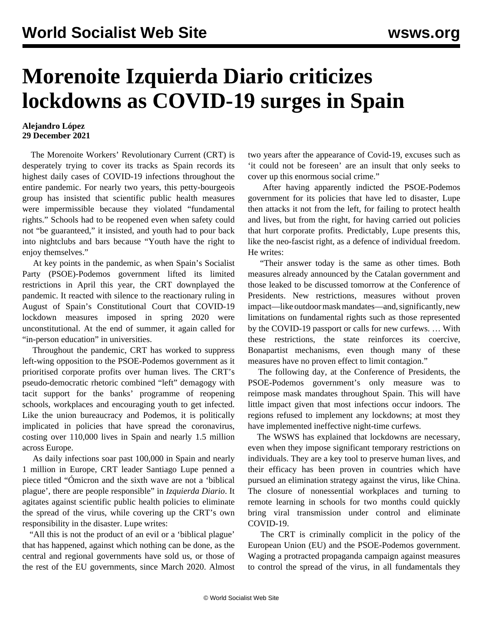## **Morenoite Izquierda Diario criticizes lockdowns as COVID-19 surges in Spain**

## **Alejandro López 29 December 2021**

 The Morenoite Workers' Revolutionary Current (CRT) is desperately trying to cover its tracks as Spain records its highest daily cases of COVID-19 infections throughout the entire pandemic. For nearly two years, this petty-bourgeois group has [insisted](/en/articles/2021/02/04/spai-f04.html) that scientific public health measures were impermissible because they violated "fundamental rights." Schools had to be [reopened](/en/articles/2020/09/25/crts-s25.html) even when safety could not "be guaranteed," it insisted, and youth had to [pour back](/en/articles/2021/07/20/spai-j20.html) into nightclubs and bars because "Youth have the right to enjoy themselves."

 At key points in the pandemic, as when Spain's Socialist Party (PSOE)-Podemos government lifted its limited restrictions in April this year, the CRT [downplayed](/en/articles/2021/04/22/izqi-a22.html) the pandemic. It reacted with [silence](/en/articles/2021/08/04/izqu-a04.html) to the reactionary ruling in August of Spain's Constitutional Court that COVID-19 lockdown measures imposed in spring 2020 were unconstitutional. At the end of summer, it [again](/en/articles/2021/09/07/spai-s07.html) called for "in-person education" in universities.

 Throughout the pandemic, CRT has worked to suppress left-wing opposition to the PSOE-Podemos government as it prioritised corporate profits over human lives. The CRT's pseudo-democratic rhetoric combined "left" demagogy with tacit support for the banks' programme of reopening schools, workplaces and encouraging youth to get infected. Like the union bureaucracy and Podemos, it is politically implicated in policies that have spread the coronavirus, costing over 110,000 lives in Spain and nearly 1.5 million across Europe.

 As daily infections soar past 100,000 in Spain and nearly 1 million in Europe, CRT leader Santiago Lupe penned a piece titled "Ómicron and the sixth wave are not a 'biblical plague', there are people responsible" in *Izquierda Diario*. It agitates against scientific public health policies to eliminate the spread of the virus, while covering up the CRT's own responsibility in the disaster. Lupe writes:

 "All this is not the product of an evil or a 'biblical plague' that has happened, against which nothing can be done, as the central and regional governments have sold us, or those of the rest of the EU governments, since March 2020. Almost two years after the appearance of Covid-19, excuses such as 'it could not be foreseen' are an insult that only seeks to cover up this enormous social crime."

 After having apparently indicted the PSOE-Podemos government for its policies that have led to disaster, Lupe then attacks it not from the left, for failing to protect health and lives, but from the right, for having carried out policies that hurt corporate profits. Predictably, Lupe presents this, like the neo-fascist right, as a defence of individual freedom. He writes:

 "Their answer today is the same as other times. Both measures already announced by the Catalan government and those leaked to be discussed tomorrow at the Conference of Presidents. New restrictions, measures without proven impact—like outdoor mask mandates—and, significantly, new limitations on fundamental rights such as those represented by the COVID-19 passport or calls for new curfews. … With these restrictions, the state reinforces its coercive, Bonapartist mechanisms, even though many of these measures have no proven effect to limit contagion."

 The following day, at the Conference of Presidents, the PSOE-Podemos government's only measure was to reimpose mask mandates throughout Spain. This will have little impact given that most infections occur indoors. The regions refused to implement any lockdowns; at most they have implemented ineffective night-time curfews.

 The WSWS has explained that lockdowns are necessary, even when they impose significant temporary restrictions on individuals. They are a key tool to preserve human lives, and their efficacy has been proven in countries which have pursued an elimination strategy against the virus, like China. The closure of nonessential workplaces and turning to remote learning in schools for two months could quickly bring viral transmission under control and eliminate COVID-19.

 The CRT is criminally complicit in the policy of the European Union (EU) and the PSOE-Podemos government. Waging a protracted propaganda campaign against measures to control the spread of the virus, in all fundamentals they